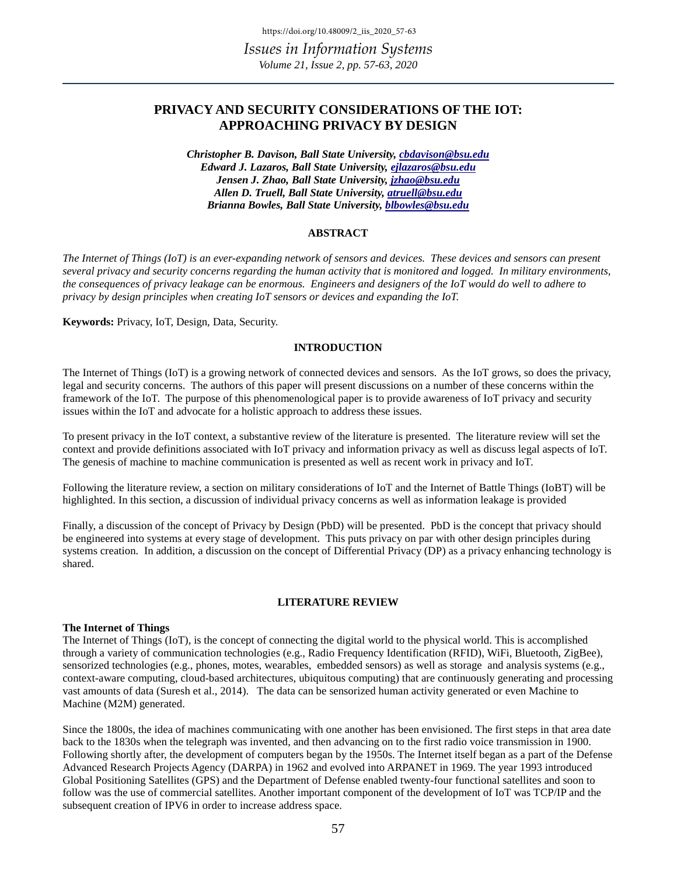# **PRIVACY AND SECURITY CONSIDERATIONS OF THE IOT: APPROACHING PRIVACY BY DESIGN**

*Christopher B. Davison, Ball State University, [cbdavison@bsu.edu](mailto:cbdavison@bsu.edu) Edward J. Lazaros, Ball State University, [ejlazaros@bsu.edu](mailto:ejlazaros@bsu.edu)  Jensen J. Zhao, Ball State University, [jzhao@bsu.edu](mailto:jzhao@bsu.edu)  Allen D. Truell, Ball State University, [atruell@bsu.edu](mailto:atruell@bsu.edu) Brianna Bowles, Ball State University[, blbowles@bsu.edu](mailto:blbowles@bsu.edu)* 

#### **ABSTRACT**

*The Internet of Things (IoT) is an ever-expanding network of sensors and devices. These devices and sensors can present several privacy and security concerns regarding the human activity that is monitored and logged. In military environments, the consequences of privacy leakage can be enormous. Engineers and designers of the IoT would do well to adhere to privacy by design principles when creating IoT sensors or devices and expanding the IoT.*

**Keywords:** Privacy, IoT, Design, Data, Security.

#### **INTRODUCTION**

The Internet of Things (IoT) is a growing network of connected devices and sensors. As the IoT grows, so does the privacy, legal and security concerns. The authors of this paper will present discussions on a number of these concerns within the framework of the IoT. The purpose of this phenomenological paper is to provide awareness of IoT privacy and security issues within the IoT and advocate for a holistic approach to address these issues.

To present privacy in the IoT context, a substantive review of the literature is presented. The literature review will set the context and provide definitions associated with IoT privacy and information privacy as well as discuss legal aspects of IoT. The genesis of machine to machine communication is presented as well as recent work in privacy and IoT.

Following the literature review, a section on military considerations of IoT and the Internet of Battle Things (IoBT) will be highlighted. In this section, a discussion of individual privacy concerns as well as information leakage is provided

Finally, a discussion of the concept of Privacy by Design (PbD) will be presented. PbD is the concept that privacy should be engineered into systems at every stage of development. This puts privacy on par with other design principles during systems creation. In addition, a discussion on the concept of Differential Privacy (DP) as a privacy enhancing technology is shared.

# **LITERATURE REVIEW**

#### **The Internet of Things**

The Internet of Things (IoT), is the concept of connecting the digital world to the physical world. This is accomplished through a variety of communication technologies (e.g., Radio Frequency Identification (RFID), WiFi, Bluetooth, ZigBee), sensorized technologies (e.g., phones, motes, wearables, embedded sensors) as well as storage and analysis systems (e.g., context-aware computing, cloud-based architectures, ubiquitous computing) that are continuously generating and processing vast amounts of data (Suresh et al., 2014). The data can be sensorized human activity generated or even Machine to Machine (M2M) generated.

Since the 1800s, the idea of machines communicating with one another has been envisioned. The first steps in that area date back to the 1830s when the telegraph was invented, and then advancing on to the first radio voice transmission in 1900. Following shortly after, the development of computers began by the 1950s. The Internet itself began as a part of the Defense Advanced Research Projects Agency (DARPA) in 1962 and evolved into ARPANET in 1969. The year 1993 introduced Global Positioning Satellites (GPS) and the Department of Defense enabled twenty-four functional satellites and soon to follow was the use of commercial satellites. Another important component of the development of IoT was TCP/IP and the subsequent creation of IPV6 in order to increase address space.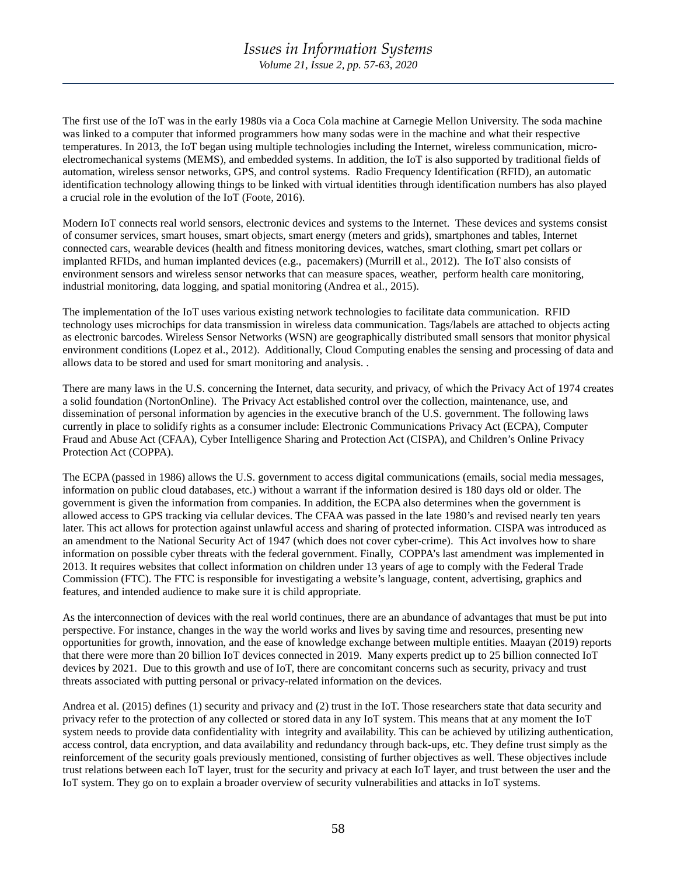The first use of the IoT was in the early 1980s via a Coca Cola machine at Carnegie Mellon University. The soda machine was linked to a computer that informed programmers how many sodas were in the machine and what their respective temperatures. In 2013, the IoT began using multiple technologies including the Internet, wireless communication, microelectromechanical systems (MEMS), and embedded systems. In addition, the IoT is also supported by traditional fields of automation, wireless sensor networks, GPS, and control systems. Radio Frequency Identification (RFID), an automatic identification technology allowing things to be linked with virtual identities through identification numbers has also played a crucial role in the evolution of the IoT (Foote, 2016).

Modern IoT connects real world sensors, electronic devices and systems to the Internet. These devices and systems consist of consumer services, smart houses, smart objects, smart energy (meters and grids), smartphones and tables, Internet connected cars, wearable devices (health and fitness monitoring devices, watches, smart clothing, smart pet collars or implanted RFIDs, and human implanted devices (e.g., pacemakers) (Murrill et al., 2012). The IoT also consists of environment sensors and wireless sensor networks that can measure spaces, weather, perform health care monitoring, industrial monitoring, data logging, and spatial monitoring (Andrea et al., 2015).

The implementation of the IoT uses various existing network technologies to facilitate data communication. RFID technology uses microchips for data transmission in wireless data communication. Tags/labels are attached to objects acting as electronic barcodes. Wireless Sensor Networks (WSN) are geographically distributed small sensors that monitor physical environment conditions (Lopez et al., 2012). Additionally, Cloud Computing enables the sensing and processing of data and allows data to be stored and used for smart monitoring and analysis. .

There are many laws in the U.S. concerning the Internet, data security, and privacy, of which the Privacy Act of 1974 creates a solid foundation (NortonOnline). The Privacy Act established control over the collection, maintenance, use, and dissemination of personal information by agencies in the executive branch of the U.S. government. The following laws currently in place to solidify rights as a consumer include: Electronic Communications Privacy Act (ECPA), Computer Fraud and Abuse Act (CFAA), Cyber Intelligence Sharing and Protection Act (CISPA), and Children's Online Privacy Protection Act (COPPA).

The ECPA (passed in 1986) allows the U.S. government to access digital communications (emails, social media messages, information on public cloud databases, etc.) without a warrant if the information desired is 180 days old or older. The government is given the information from companies. In addition, the ECPA also determines when the government is allowed access to GPS tracking via cellular devices. The CFAA was passed in the late 1980's and revised nearly ten years later. This act allows for protection against unlawful access and sharing of protected information. CISPA was introduced as an amendment to the National Security Act of 1947 (which does not cover cyber-crime). This Act involves how to share information on possible cyber threats with the federal government. Finally, COPPA's last amendment was implemented in 2013. It requires websites that collect information on children under 13 years of age to comply with the Federal Trade Commission (FTC). The FTC is responsible for investigating a website's language, content, advertising, graphics and features, and intended audience to make sure it is child appropriate.

As the interconnection of devices with the real world continues, there are an abundance of advantages that must be put into perspective. For instance, changes in the way the world works and lives by saving time and resources, presenting new opportunities for growth, innovation, and the ease of knowledge exchange between multiple entities. Maayan (2019) reports that there were more than 20 billion IoT devices connected in 2019. Many experts predict up to 25 billion connected IoT devices by 2021. Due to this growth and use of IoT, there are concomitant concerns such as security, privacy and trust threats associated with putting personal or privacy-related information on the devices.

Andrea et al. (2015) defines (1) security and privacy and (2) trust in the IoT. Those researchers state that data security and privacy refer to the protection of any collected or stored data in any IoT system. This means that at any moment the IoT system needs to provide data confidentiality with integrity and availability. This can be achieved by utilizing authentication, access control, data encryption, and data availability and redundancy through back-ups, etc. They define trust simply as the reinforcement of the security goals previously mentioned, consisting of further objectives as well. These objectives include trust relations between each IoT layer, trust for the security and privacy at each IoT layer, and trust between the user and the IoT system. They go on to explain a broader overview of security vulnerabilities and attacks in IoT systems.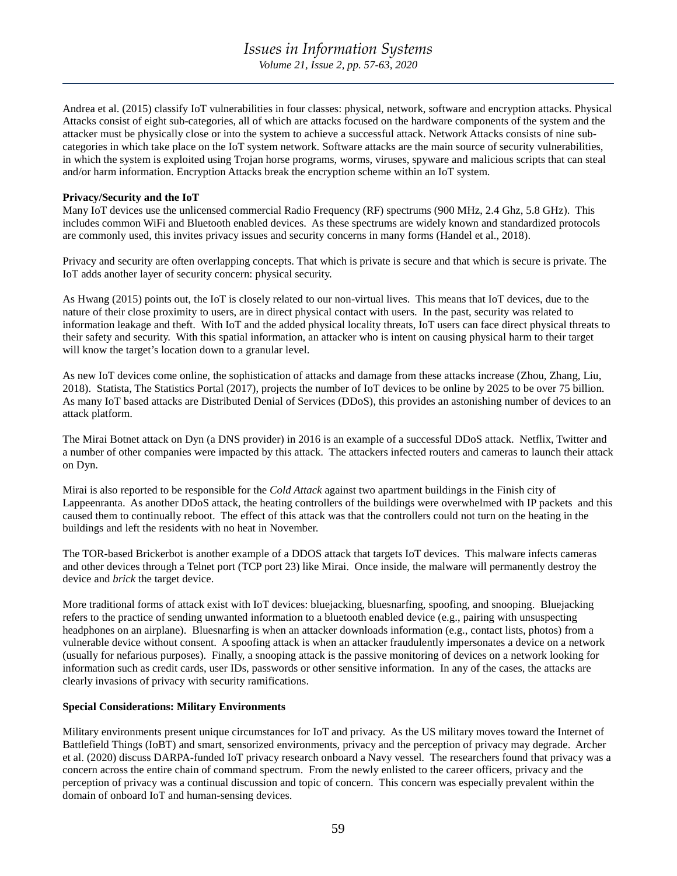Andrea et al. (2015) classify IoT vulnerabilities in four classes: physical, network, software and encryption attacks. Physical Attacks consist of eight sub-categories, all of which are attacks focused on the hardware components of the system and the attacker must be physically close or into the system to achieve a successful attack. Network Attacks consists of nine subcategories in which take place on the IoT system network. Software attacks are the main source of security vulnerabilities, in which the system is exploited using Trojan horse programs, worms, viruses, spyware and malicious scripts that can steal and/or harm information. Encryption Attacks break the encryption scheme within an IoT system.

# **Privacy/Security and the IoT**

Many IoT devices use the unlicensed commercial Radio Frequency (RF) spectrums (900 MHz, 2.4 Ghz, 5.8 GHz). This includes common WiFi and Bluetooth enabled devices. As these spectrums are widely known and standardized protocols are commonly used, this invites privacy issues and security concerns in many forms (Handel et al., 2018).

Privacy and security are often overlapping concepts. That which is private is secure and that which is secure is private. The IoT adds another layer of security concern: physical security.

As Hwang (2015) points out, the IoT is closely related to our non-virtual lives. This means that IoT devices, due to the nature of their close proximity to users, are in direct physical contact with users. In the past, security was related to information leakage and theft. With IoT and the added physical locality threats, IoT users can face direct physical threats to their safety and security. With this spatial information, an attacker who is intent on causing physical harm to their target will know the target's location down to a granular level.

As new IoT devices come online, the sophistication of attacks and damage from these attacks increase (Zhou, Zhang, Liu, 2018). Statista, The Statistics Portal (2017), projects the number of IoT devices to be online by 2025 to be over 75 billion. As many IoT based attacks are Distributed Denial of Services (DDoS), this provides an astonishing number of devices to an attack platform.

The Mirai Botnet attack on Dyn (a DNS provider) in 2016 is an example of a successful DDoS attack. Netflix, Twitter and a number of other companies were impacted by this attack. The attackers infected routers and cameras to launch their attack on Dyn.

Mirai is also reported to be responsible for the *Cold Attack* against two apartment buildings in the Finish city of Lappeenranta. As another DDoS attack, the heating controllers of the buildings were overwhelmed with IP packets and this caused them to continually reboot. The effect of this attack was that the controllers could not turn on the heating in the buildings and left the residents with no heat in November.

The TOR-based Brickerbot is another example of a DDOS attack that targets IoT devices. This malware infects cameras and other devices through a Telnet port (TCP port 23) like Mirai. Once inside, the malware will permanently destroy the device and *brick* the target device.

More traditional forms of attack exist with IoT devices: bluejacking, bluesnarfing, spoofing, and snooping. Bluejacking refers to the practice of sending unwanted information to a bluetooth enabled device (e.g., pairing with unsuspecting headphones on an airplane). Bluesnarfing is when an attacker downloads information (e.g., contact lists, photos) from a vulnerable device without consent. A spoofing attack is when an attacker fraudulently impersonates a device on a network (usually for nefarious purposes). Finally, a snooping attack is the passive monitoring of devices on a network looking for information such as credit cards, user IDs, passwords or other sensitive information. In any of the cases, the attacks are clearly invasions of privacy with security ramifications.

# **Special Considerations: Military Environments**

Military environments present unique circumstances for IoT and privacy. As the US military moves toward the Internet of Battlefield Things (IoBT) and smart, sensorized environments, privacy and the perception of privacy may degrade. Archer et al. (2020) discuss DARPA-funded IoT privacy research onboard a Navy vessel. The researchers found that privacy was a concern across the entire chain of command spectrum. From the newly enlisted to the career officers, privacy and the perception of privacy was a continual discussion and topic of concern. This concern was especially prevalent within the domain of onboard IoT and human-sensing devices.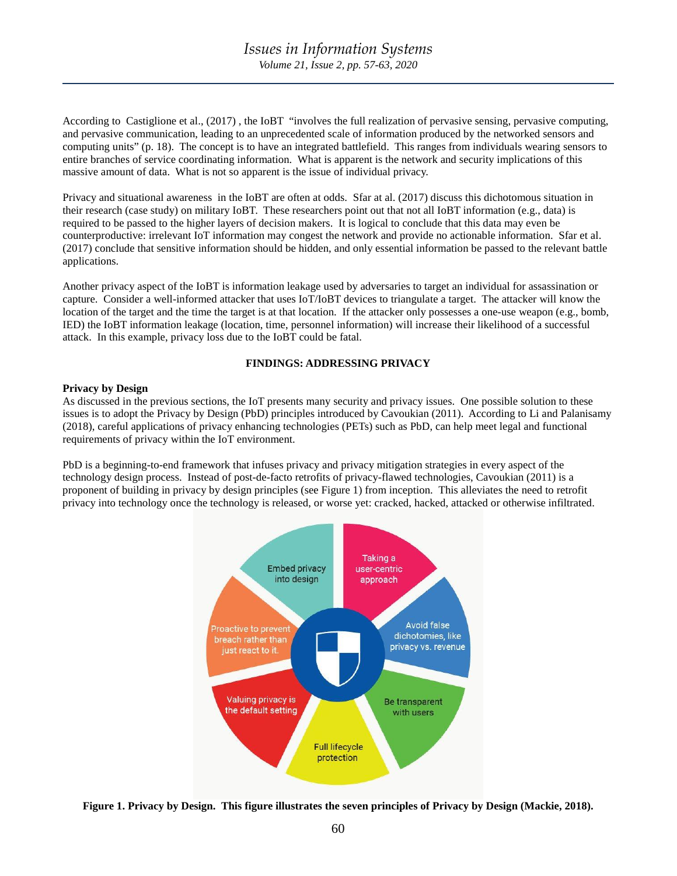According to Castiglione et al., (2017) , the IoBT "involves the full realization of pervasive sensing, pervasive computing, and pervasive communication, leading to an unprecedented scale of information produced by the networked sensors and computing units" (p. 18). The concept is to have an integrated battlefield. This ranges from individuals wearing sensors to entire branches of service coordinating information. What is apparent is the network and security implications of this massive amount of data. What is not so apparent is the issue of individual privacy.

Privacy and situational awareness in the IoBT are often at odds. Sfar at al. (2017) discuss this dichotomous situation in their research (case study) on military IoBT. These researchers point out that not all IoBT information (e.g., data) is required to be passed to the higher layers of decision makers. It is logical to conclude that this data may even be counterproductive: irrelevant IoT information may congest the network and provide no actionable information. Sfar et al. (2017) conclude that sensitive information should be hidden, and only essential information be passed to the relevant battle applications.

Another privacy aspect of the IoBT is information leakage used by adversaries to target an individual for assassination or capture. Consider a well-informed attacker that uses IoT/IoBT devices to triangulate a target. The attacker will know the location of the target and the time the target is at that location. If the attacker only possesses a one-use weapon (e.g., bomb, IED) the IoBT information leakage (location, time, personnel information) will increase their likelihood of a successful attack. In this example, privacy loss due to the IoBT could be fatal.

# **FINDINGS: ADDRESSING PRIVACY**

# **Privacy by Design**

As discussed in the previous sections, the IoT presents many security and privacy issues. One possible solution to these issues is to adopt the Privacy by Design (PbD) principles introduced by Cavoukian (2011). According to Li and Palanisamy (2018), careful applications of privacy enhancing technologies (PETs) such as PbD, can help meet legal and functional requirements of privacy within the IoT environment.

PbD is a beginning-to-end framework that infuses privacy and privacy mitigation strategies in every aspect of the technology design process. Instead of post-de-facto retrofits of privacy-flawed technologies, Cavoukian (2011) is a proponent of building in privacy by design principles (see Figure 1) from inception. This alleviates the need to retrofit privacy into technology once the technology is released, or worse yet: cracked, hacked, attacked or otherwise infiltrated.



**Figure 1. Privacy by Design. This figure illustrates the seven principles of Privacy by Design (Mackie, 2018).**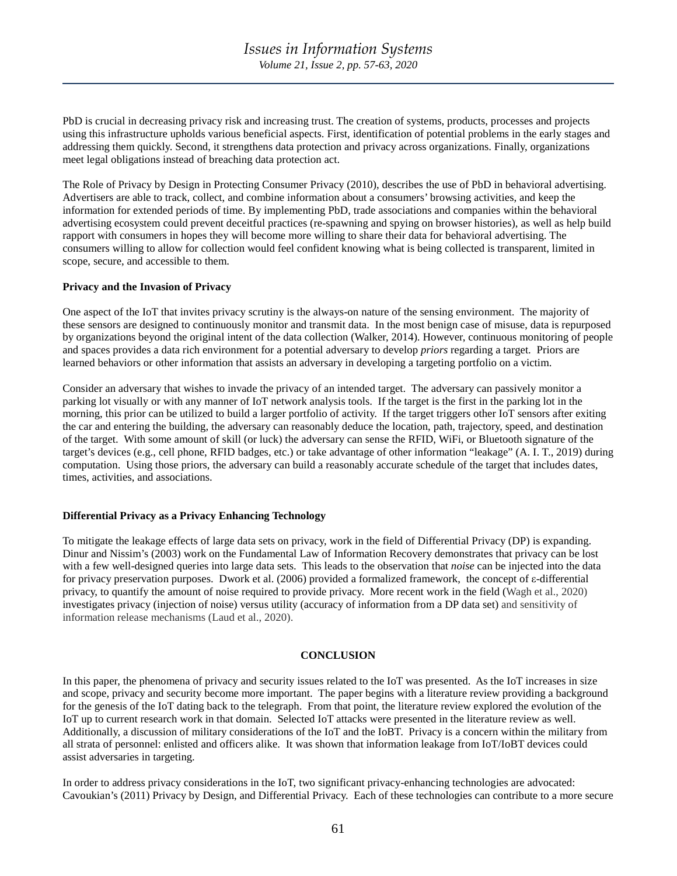PbD is crucial in decreasing privacy risk and increasing trust. The creation of systems, products, processes and projects using this infrastructure upholds various beneficial aspects. First, identification of potential problems in the early stages and addressing them quickly. Second, it strengthens data protection and privacy across organizations. Finally, organizations meet legal obligations instead of breaching data protection act.

The Role of Privacy by Design in Protecting Consumer Privacy (2010), describes the use of PbD in behavioral advertising. Advertisers are able to track, collect, and combine information about a consumers' browsing activities, and keep the information for extended periods of time. By implementing PbD, trade associations and companies within the behavioral advertising ecosystem could prevent deceitful practices (re-spawning and spying on browser histories), as well as help build rapport with consumers in hopes they will become more willing to share their data for behavioral advertising. The consumers willing to allow for collection would feel confident knowing what is being collected is transparent, limited in scope, secure, and accessible to them.

## **Privacy and the Invasion of Privacy**

One aspect of the IoT that invites privacy scrutiny is the always-on nature of the sensing environment. The majority of these sensors are designed to continuously monitor and transmit data. In the most benign case of misuse, data is repurposed by organizations beyond the original intent of the data collection (Walker, 2014). However, continuous monitoring of people and spaces provides a data rich environment for a potential adversary to develop *priors* regarding a target. Priors are learned behaviors or other information that assists an adversary in developing a targeting portfolio on a victim.

Consider an adversary that wishes to invade the privacy of an intended target. The adversary can passively monitor a parking lot visually or with any manner of IoT network analysis tools. If the target is the first in the parking lot in the morning, this prior can be utilized to build a larger portfolio of activity. If the target triggers other IoT sensors after exiting the car and entering the building, the adversary can reasonably deduce the location, path, trajectory, speed, and destination of the target. With some amount of skill (or luck) the adversary can sense the RFID, WiFi, or Bluetooth signature of the target's devices (e.g., cell phone, RFID badges, etc.) or take advantage of other information "leakage" (A. I. T., 2019) during computation. Using those priors, the adversary can build a reasonably accurate schedule of the target that includes dates, times, activities, and associations.

## **Differential Privacy as a Privacy Enhancing Technology**

To mitigate the leakage effects of large data sets on privacy, work in the field of Differential Privacy (DP) is expanding. Dinur and Nissim's (2003) work on the Fundamental Law of Information Recovery demonstrates that privacy can be lost with a few well-designed queries into large data sets. This leads to the observation that *noise* can be injected into the data for privacy preservation purposes. Dwork et al. (2006) provided a formalized framework, the concept of ε-differential privacy, to quantify the amount of noise required to provide privacy. More recent work in the field (Wagh et al., 2020) investigates privacy (injection of noise) versus utility (accuracy of information from a DP data set) and sensitivity of information release mechanisms (Laud et al., 2020).

#### **CONCLUSION**

In this paper, the phenomena of privacy and security issues related to the IoT was presented. As the IoT increases in size and scope, privacy and security become more important. The paper begins with a literature review providing a background for the genesis of the IoT dating back to the telegraph. From that point, the literature review explored the evolution of the IoT up to current research work in that domain. Selected IoT attacks were presented in the literature review as well. Additionally, a discussion of military considerations of the IoT and the IoBT. Privacy is a concern within the military from all strata of personnel: enlisted and officers alike. It was shown that information leakage from IoT/IoBT devices could assist adversaries in targeting.

In order to address privacy considerations in the IoT, two significant privacy-enhancing technologies are advocated: Cavoukian's (2011) Privacy by Design, and Differential Privacy. Each of these technologies can contribute to a more secure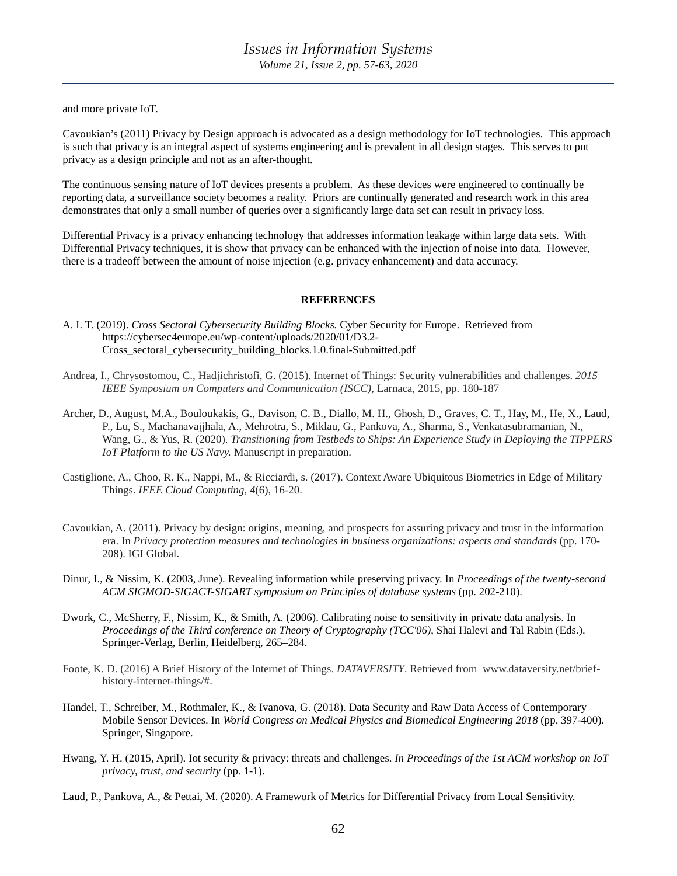and more private IoT.

Cavoukian's (2011) Privacy by Design approach is advocated as a design methodology for IoT technologies. This approach is such that privacy is an integral aspect of systems engineering and is prevalent in all design stages. This serves to put privacy as a design principle and not as an after-thought.

The continuous sensing nature of IoT devices presents a problem. As these devices were engineered to continually be reporting data, a surveillance society becomes a reality. Priors are continually generated and research work in this area demonstrates that only a small number of queries over a significantly large data set can result in privacy loss.

Differential Privacy is a privacy enhancing technology that addresses information leakage within large data sets. With Differential Privacy techniques, it is show that privacy can be enhanced with the injection of noise into data. However, there is a tradeoff between the amount of noise injection (e.g. privacy enhancement) and data accuracy.

## **REFERENCES**

A. I. T. (2019). *Cross Sectoral Cybersecurity Building Blocks.* Cyber Security for Europe. Retrieved from https://cybersec4europe.eu/wp-content/uploads/2020/01/D3.2- Cross\_sectoral\_cybersecurity\_building\_blocks.1.0.final-Submitted.pdf

- Andrea, I., Chrysostomou, C., Hadjichristofi, G. (2015). Internet of Things: Security vulnerabilities and challenges. *2015 IEEE Symposium on Computers and Communication (ISCC)*, Larnaca, 2015, pp. 180-187
- Archer, D., August, M.A., Bouloukakis, G., Davison, C. B., Diallo, M. H., Ghosh, D., Graves, C. T., Hay, M., He, X., Laud, P., Lu, S., Machanavajjhala, A., Mehrotra, S., Miklau, G., Pankova, A., Sharma, S., Venkatasubramanian, N., Wang, G., & Yus, R. (2020). *Transitioning from Testbeds to Ships: An Experience Study in Deploying the TIPPERS IoT Platform to the US Navy.* Manuscript in preparation.
- Castiglione, A., Choo, R. K., Nappi, M., & Ricciardi, s. (2017). Context Aware Ubiquitous Biometrics in Edge of Military Things. *IEEE Cloud Computing, 4*(6), 16-20.
- Cavoukian, A. (2011). Privacy by design: origins, meaning, and prospects for assuring privacy and trust in the information era. In *Privacy protection measures and technologies in business organizations: aspects and standards* (pp. 170- 208). IGI Global.
- Dinur, I., & Nissim, K. (2003, June). Revealing information while preserving privacy. In *Proceedings of the twenty-second ACM SIGMOD-SIGACT-SIGART symposium on Principles of database systems* (pp. 202-210).
- Dwork, C., McSherry, F., Nissim, K., & Smith, A. (2006). Calibrating noise to sensitivity in private data analysis. In *Proceedings of the Third conference on Theory of Cryptography (TCC'06)*, Shai Halevi and Tal Rabin (Eds.). Springer-Verlag, Berlin, Heidelberg, 265–284.
- Foote, K. D. (2016) A Brief History of the Internet of Things. *DATAVERSITY*. Retrieved from www.dataversity.net/briefhistory-internet-things/#.
- Handel, T., Schreiber, M., Rothmaler, K., & Ivanova, G. (2018). Data Security and Raw Data Access of Contemporary Mobile Sensor Devices. In *World Congress on Medical Physics and Biomedical Engineering 2018* (pp. 397-400). Springer, Singapore.
- Hwang, Y. H. (2015, April). Iot security & privacy: threats and challenges. *In Proceedings of the 1st ACM workshop on IoT privacy, trust, and security* (pp. 1-1).

Laud, P., Pankova, A., & Pettai, M. (2020). A Framework of Metrics for Differential Privacy from Local Sensitivity.